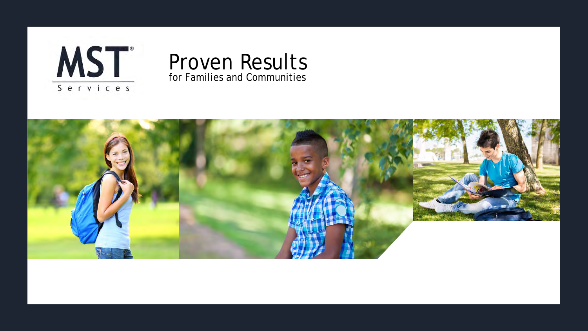



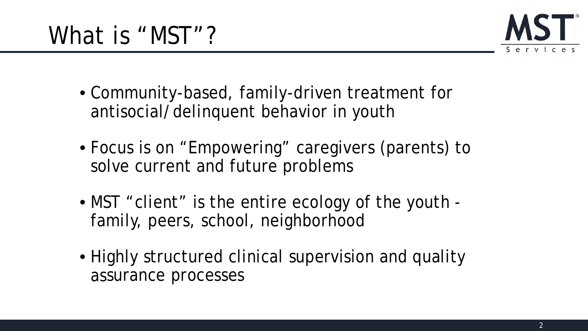

- Community-based, family-driven treatment for antisocial/delinquent behavior in youth
- Focus is on "Empowering" caregivers (parents) to solve current and future problems
- MST "client" is the entire ecology of the youth family, peers, school, neighborhood
- Highly structured clinical supervision and quality assurance processes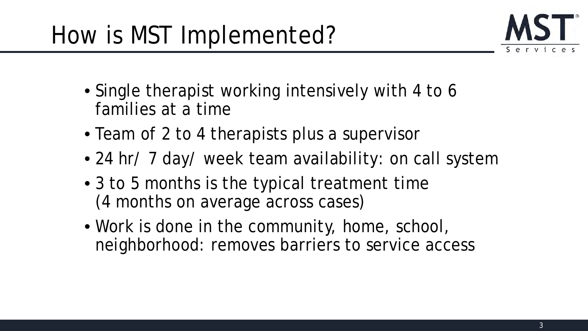

- Single therapist working intensively with 4 to 6 families at a time
- Team of 2 to 4 therapists plus a supervisor
- 24 hr/ 7 day/ week team availability: on call system
- 3 to 5 months is the typical treatment time (4 months on average across cases)
- Work is done in the community, home, school, neighborhood: removes barriers to service access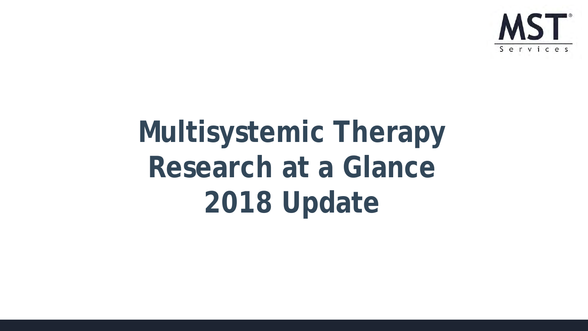

# **Multisystemic Therapy Research at a Glance 2018 Update**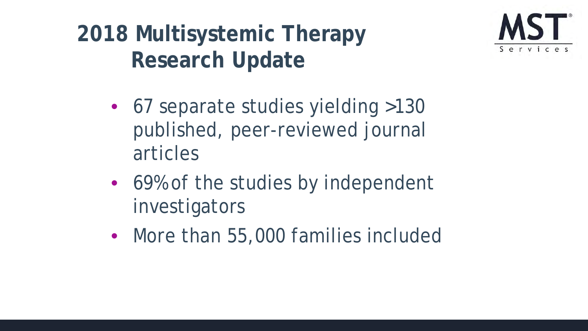**2018 Multisystemic Therapy Research Update**



- 67 separate studies yielding >130 published, peer-reviewed journal articles
- 69% of the studies by independent investigators
- More than 55,000 families included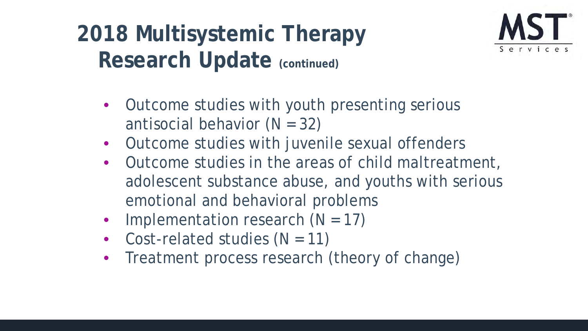# Research Update (continued) **2018 Multisystemic Therapy**



- Outcome studies with youth presenting serious antisocial behavior  $(N = 32)$
- Outcome studies with juvenile sexual offenders
- Outcome studies in the areas of child maltreatment, adolescent substance abuse, and youths with serious emotional and behavioral problems
- Implementation research  $(N = 17)$
- Cost-related studies  $(N = 11)$
- Treatment process research (theory of change)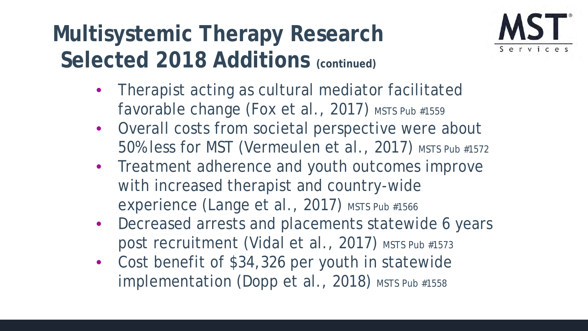## **Multisystemic Therapy Research**  Selected 2018 Additions (continued)



- Therapist acting as cultural mediator facilitated favorable change (Fox et al., 2017) *MSTS Pub #1559*
- Overall costs from societal perspective were about 50% less for MST (Vermeulen et al., 2017) *MSTS Pub #1572*
- Treatment adherence and youth outcomes improve with increased therapist and country-wide experience (Lange et al., 2017) *MSTS Pub #1566*
- Decreased arrests and placements statewide 6 years post recruitment (Vidal et al., 2017) *MSTS Pub #1573*
- Cost benefit of \$34,326 per youth in statewide implementation (Dopp et al., 2018) *MSTS Pub #1558*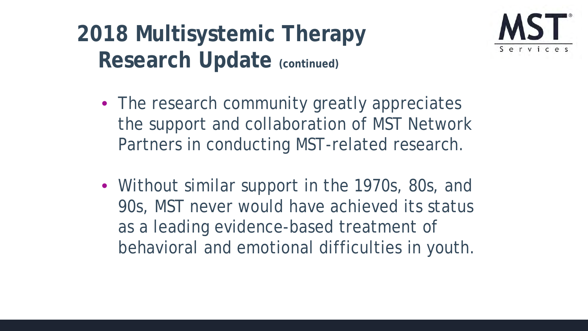## **2018 Multisystemic Therapy Research Update (continued)**



- The research community greatly appreciates the support and collaboration of MST Network Partners in conducting MST-related research.
- Without similar support in the 1970s, 80s, and 90s, MST never would have achieved its status as a leading evidence-based treatment of behavioral and emotional difficulties in youth.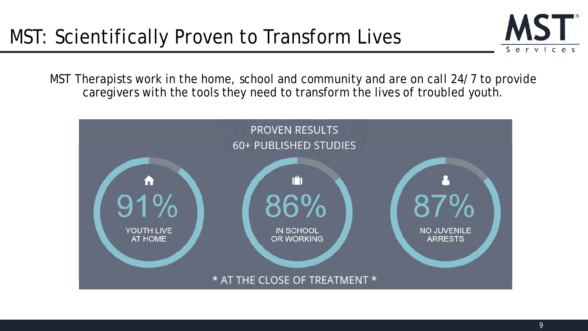

MST Therapists work in the home, school and community and are on call 24/7 to provide caregivers with the tools they need to transform the lives of troubled youth.

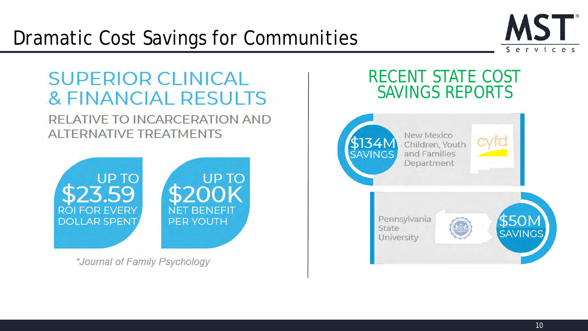

## **SUPERIOR CLINICAL & FINANCIAL RESULTS** RELATIVE TO INCARCERATION AND **ALTERNATIVE TREATMENTS**



\*Journal of Family Psychology

## RECENT STATE COST SAVINGS REPORTS

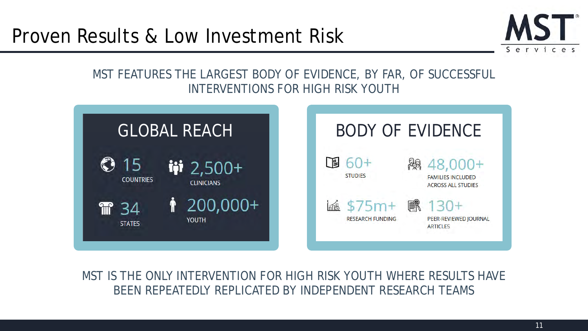## Proven Results & Low Investment Risk



#### MST FEATURES THE LARGEST BODY OF EVIDENCE, BY FAR, OF SUCCESSFUL INTERVENTIONS FOR HIGH RISK YOUTH



MST IS THE ONLY INTERVENTION FOR HIGH RISK YOUTH WHERE RESULTS HAVE BEEN REPEATEDLY REPLICATED BY INDEPENDENT RESEARCH TEAMS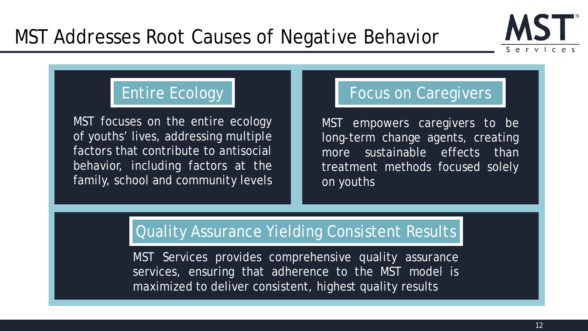

MST focuses on the entire ecology of youths' lives, addressing multiple factors that contribute to antisocial behavior, including factors at the family, school and community levels

#### Entire Ecology **Focus on Caregivers**

MST empowers caregivers to be long-term change agents, creating more sustainable effects than treatment methods focused solely on youths

#### Quality Assurance Yielding Consistent Results

MST Services provides comprehensive quality assurance services, ensuring that adherence to the MST model is maximized to deliver consistent, highest quality results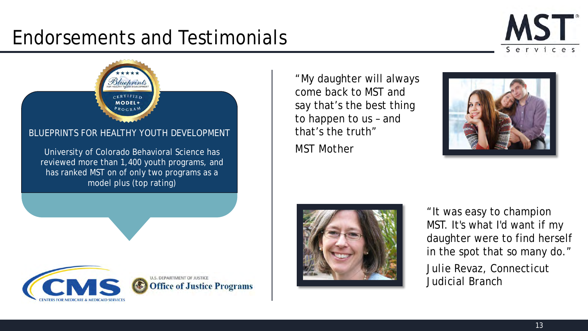## Endorsements and Testimonials



## **CERTIFIED MODEL+** BLUEPRINTS FOR HEALTHY YOUTH DEVELOPMENT

Bluehrint

University of Colorado Behavioral Science has reviewed more than 1,400 youth programs, and has ranked MST on of only two programs as a model plus (top rating)

**U.S. DEPARTMENT OF JUSTICE** 

**Office of Justice Programs** 

"My daughter will always come back to MST and say that's the best thing to happen to us – and that's the truth" *MST Mother*





"It was easy to champion MST. It's what I'd want if my daughter were to find herself in the spot that so many do." *Julie Revaz, Connecticut Judicial Branch*



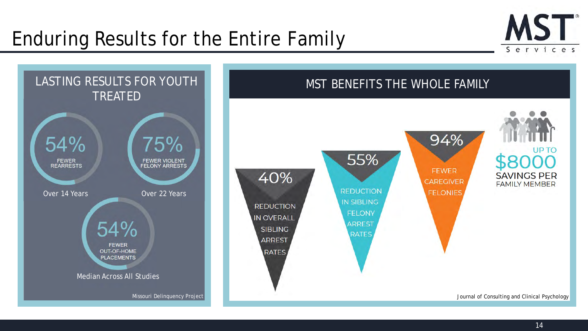## Enduring Results for the Entire Family



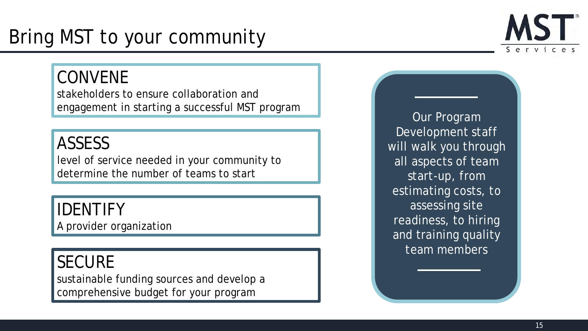## Bring MST to your community

## CONVENE

stakeholders to ensure collaboration and engagement in starting a successful MST program

## ASSESS

level of service needed in your community to determine the number of teams to start

## IDENTIFY

A provider organization

## **SECURE**

sustainable funding sources and develop a comprehensive budget for your program

Our Program Development staff will walk you through all aspects of team start-up, from estimating costs, to assessing site readiness, to hiring and training quality team members

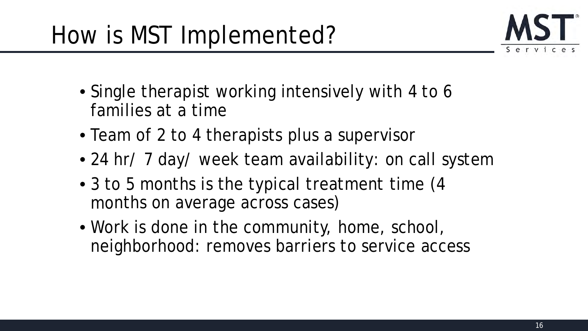

- Single therapist working intensively with 4 to 6 families at a time
- Team of 2 to 4 therapists plus a supervisor
- 24 hr/ 7 day/ week team availability: on call system
- 3 to 5 months is the typical treatment time (4) months on average across cases)
- Work is done in the community, home, school, neighborhood: removes barriers to service access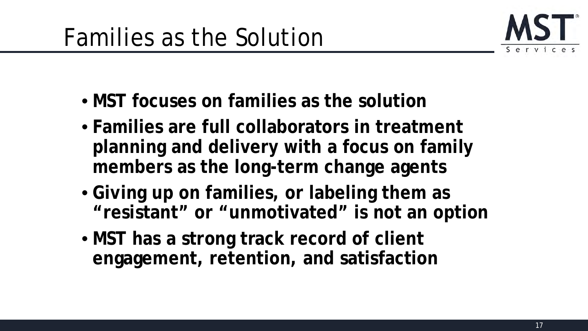

- **MST focuses on families as the solution**
- **Families are full collaborators in treatment planning and delivery with a focus on family members as the long-term change agents**
- **Giving up on families, or labeling them as "resistant" or "unmotivated" is not an option**
- **MST has a strong track record of client engagement, retention, and satisfaction**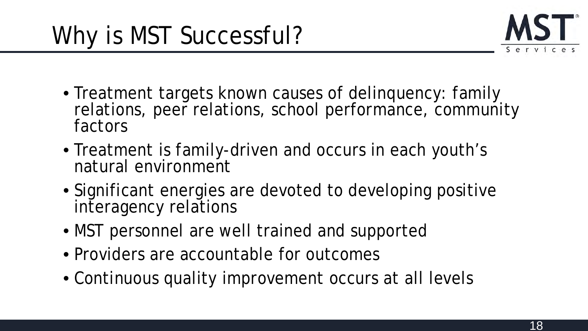

- Treatment targets known causes of delinquency: family relations, peer relations, school performance, community factors
- Treatment is family-driven and occurs in each youth's natural environment
- Significant energies are devoted to developing positive interagency relations
- MST personnel are well trained and supported
- Providers are accountable for outcomes
- Continuous quality improvement occurs at all levels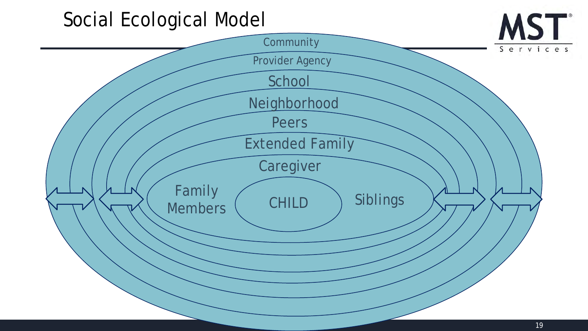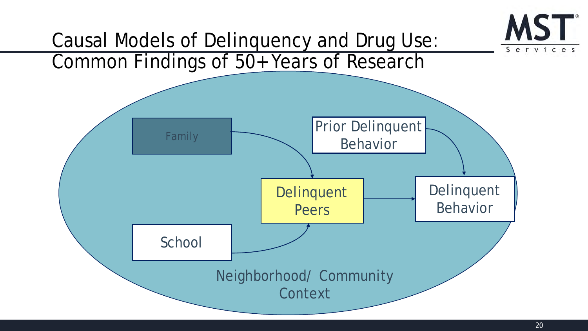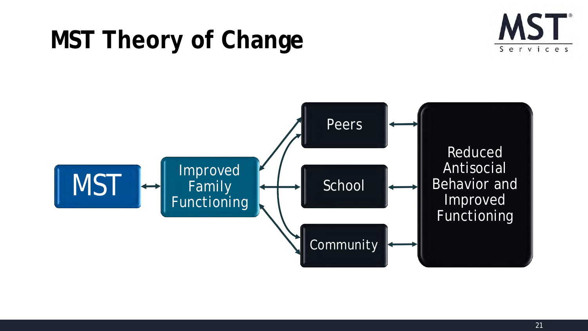# **MST Theory of Change**



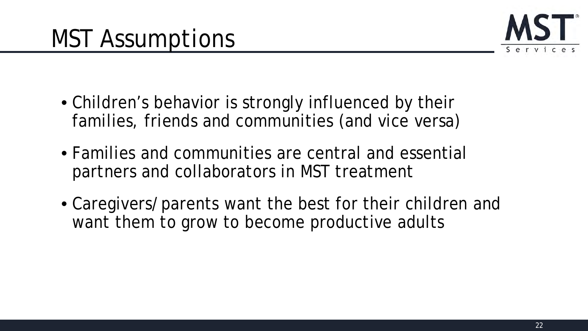

- Children's behavior is strongly influenced by their families, friends and communities (and vice versa)
- Families and communities are central and essential partners and collaborators in MST treatment
- Caregivers/parents want the best for their children and want them to grow to become productive adults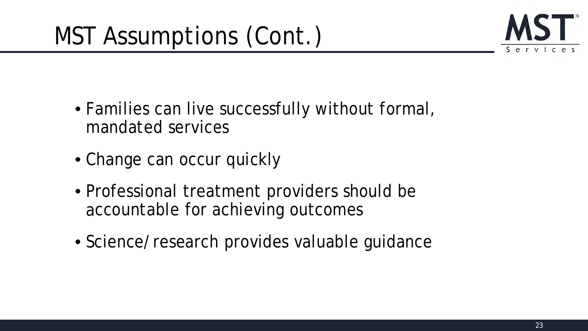

- Families can live successfully without formal, mandated services
- Change can occur quickly
- Professional treatment providers should be accountable for achieving outcomes
- Science/research provides valuable guidance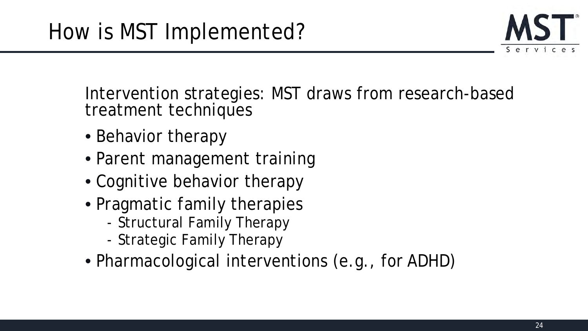

Intervention strategies: MST draws from research-based treatment techniques

- Behavior therapy
- Parent management training
- Cognitive behavior therapy
- Pragmatic family therapies
	- Structural Family Therapy
	- Strategic Family Therapy
- Pharmacological interventions (e.g., for ADHD)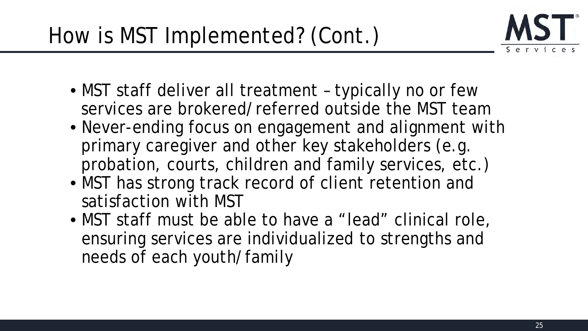

- MST staff deliver all treatment typically no or few services are brokered/referred outside the MST team
- Never-ending focus on engagement and alignment with primary caregiver and other key stakeholders (e.g. probation, courts, children and family services, etc.)
- MST has strong track record of client retention and satisfaction with MST
- MST staff must be able to have a "lead" clinical role, ensuring services are individualized to strengths and needs of each youth/family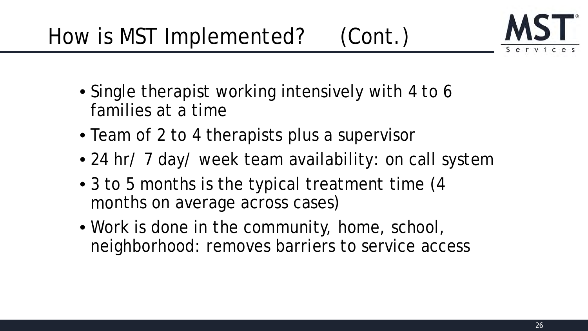

- Single therapist working intensively with 4 to 6 families at a time
- Team of 2 to 4 therapists plus a supervisor
- 24 hr/ 7 day/ week team availability: on call system
- 3 to 5 months is the typical treatment time (4) months on average across cases)
- Work is done in the community, home, school, neighborhood: removes barriers to service access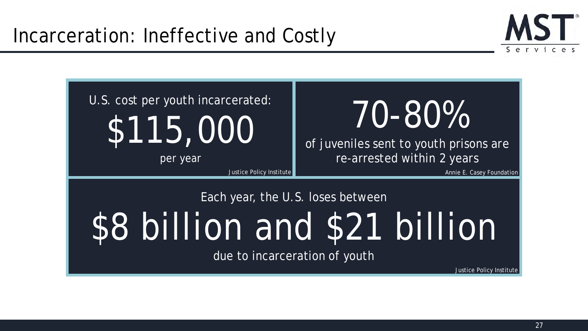